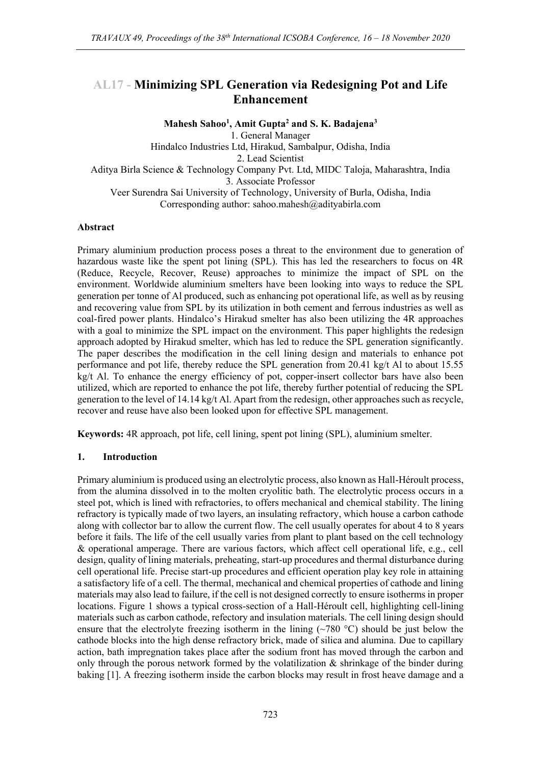# **AL17 - Minimizing SPL Generation via Redesigning Pot and Life Enhancement**

**Mahesh Sahoo<sup>1</sup> , Amit Gupta<sup>2</sup> and S. K. Badajena<sup>3</sup>**

1. General Manager

Hindalco Industries Ltd, Hirakud, Sambalpur, Odisha, India

2. Lead Scientist

Aditya Birla Science & Technology Company Pvt. Ltd, MIDC Taloja, Maharashtra, India 3. Associate Professor

Veer Surendra Sai University of Technology, University of Burla, Odisha, India Corresponding author: sahoo.mahesh@adityabirla.com

### **Abstract**

Primary aluminium production process poses a threat to the environment due to generation of hazardous waste like the spent pot lining (SPL). This has led the researchers to focus on 4R (Reduce, Recycle, Recover, Reuse) approaches to minimize the impact of SPL on the environment. Worldwide aluminium smelters have been looking into ways to reduce the SPL generation per tonne of Al produced, such as enhancing pot operational life, as well as by reusing and recovering value from SPL by its utilization in both cement and ferrous industries as well as coal-fired power plants. Hindalco's Hirakud smelter has also been utilizing the 4R approaches with a goal to minimize the SPL impact on the environment. This paper highlights the redesign approach adopted by Hirakud smelter, which has led to reduce the SPL generation significantly. The paper describes the modification in the cell lining design and materials to enhance pot performance and pot life, thereby reduce the SPL generation from 20.41 kg/t Al to about 15.55 kg/t Al. To enhance the energy efficiency of pot, copper-insert collector bars have also been utilized, which are reported to enhance the pot life, thereby further potential of reducing the SPL generation to the level of 14.14 kg/t Al. Apart from the redesign, other approaches such as recycle, recover and reuse have also been looked upon for effective SPL management.

**Keywords:** 4R approach, pot life, cell lining, spent pot lining (SPL), aluminium smelter.

### **1. Introduction**

Primary aluminium is produced using an electrolytic process, also known as Hall-Héroult process, from the alumina dissolved in to the molten cryolitic bath. The electrolytic process occurs in a steel pot, which is lined with refractories, to offers mechanical and chemical stability. The lining refractory is typically made of two layers, an insulating refractory, which house a carbon cathode along with collector bar to allow the current flow. The cell usually operates for about 4 to 8 years before it fails. The life of the cell usually varies from plant to plant based on the cell technology & operational amperage. There are various factors, which affect cell operational life, e.g., cell design, quality of lining materials, preheating, start-up procedures and thermal disturbance during cell operational life. Precise start-up procedures and efficient operation play key role in attaining a satisfactory life of a cell. The thermal, mechanical and chemical properties of cathode and lining materials may also lead to failure, if the cell is not designed correctly to ensure isotherms in proper locations. Figure 1 shows a typical cross-section of a Hall-Héroult cell, highlighting cell-lining materials such as carbon cathode, refectory and insulation materials. The cell lining design should ensure that the electrolyte freezing isotherm in the lining  $(\sim 780 \degree C)$  should be just below the cathode blocks into the high dense refractory brick, made of silica and alumina. Due to capillary action, bath impregnation takes place after the sodium front has moved through the carbon and only through the porous network formed by the volatilization  $\&$  shrinkage of the binder during baking [1]. A freezing isotherm inside the carbon blocks may result in frost heave damage and a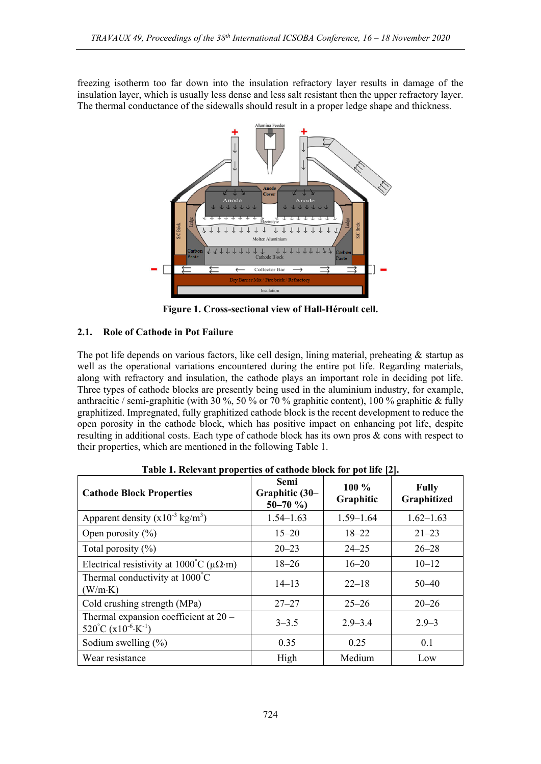freezing isotherm too far down into the insulation refractory layer results in damage of the insulation layer, which is usually less dense and less salt resistant then the upper refractory layer. The thermal conductance of the sidewalls should result in a proper ledge shape and thickness.



**Figure 1. Cross-sectional view of Hall-Héroult cell.**

## **2.1. Role of Cathode in Pot Failure**

The pot life depends on various factors, like cell design, lining material, preheating & startup as well as the operational variations encountered during the entire pot life. Regarding materials, along with refractory and insulation, the cathode plays an important role in deciding pot life. Three types of cathode blocks are presently being used in the aluminium industry, for example, anthracitic / semi-graphitic (with 30 %, 50 % or 70 % graphitic content), 100 % graphitic & fully graphitized. Impregnated, fully graphitized cathode block is the recent development to reduce the open porosity in the cathode block, which has positive impact on enhancing pot life, despite resulting in additional costs. Each type of cathode block has its own pros & cons with respect to their properties, which are mentioned in the following Table 1.

| Table 1. Keretant properties of eathout block for pot the $ \mathbb{Z} $ .     |                                        |                      |                             |
|--------------------------------------------------------------------------------|----------------------------------------|----------------------|-----------------------------|
| <b>Cathode Block Properties</b>                                                | Semi<br>Graphitic (30-<br>$50 - 70$ %) | $100\%$<br>Graphitic | <b>Fully</b><br>Graphitized |
| Apparent density $(x10^{-3} \text{ kg/m}^3)$                                   | $1.54 - 1.63$                          | $1.59 - 1.64$        | $1.62 - 1.63$               |
| Open porosity $(\% )$                                                          | $15 - 20$                              | $18 - 22$            | $21 - 23$                   |
| Total porosity $(\% )$                                                         | $20 - 23$                              | $24 - 25$            | $26 - 28$                   |
| Electrical resistivity at $1000^{\circ}$ C ( $\mu\Omega$ ·m)                   | $18 - 26$                              | $16 - 20$            | $10 - 12$                   |
| Thermal conductivity at $1000^{\circ}$ C<br>(W/m·K)                            | $14 - 13$                              | $22 - 18$            | $50 - 40$                   |
| Cold crushing strength (MPa)                                                   | $27 - 27$                              | $25 - 26$            | $20 - 26$                   |
| Thermal expansion coefficient at 20 -<br>520°C ( $x10^{-6}$ ·K <sup>-1</sup> ) | $3 - 3.5$                              | $2.9 - 3.4$          | $2.9 - 3$                   |
| Sodium swelling $(\%)$                                                         | 0.35                                   | 0.25                 | 0.1                         |
| Wear resistance                                                                | High                                   | Medium               | Low                         |

**Table 1. Relevant properties of cathode block for pot life [2].**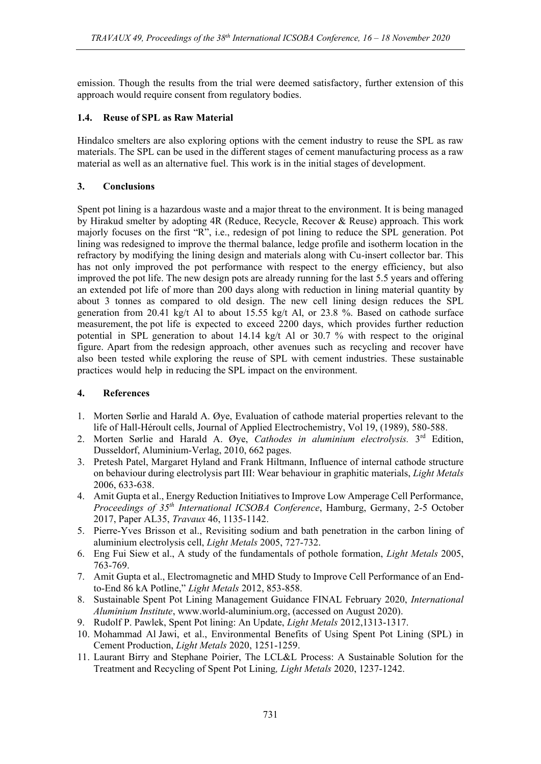emission. Though the results from the trial were deemed satisfactory, further extension of this approach would require consent from regulatory bodies.

## **1.4. Reuse of SPL as Raw Material**

Hindalco smelters are also exploring options with the cement industry to reuse the SPL as raw materials. The SPL can be used in the different stages of cement manufacturing process as a raw material as well as an alternative fuel. This work is in the initial stages of development.

## **3. Conclusions**

Spent pot lining is a hazardous waste and a major threat to the environment. It is being managed by Hirakud smelter by adopting 4R (Reduce, Recycle, Recover & Reuse) approach. This work majorly focuses on the first "R", i.e., redesign of pot lining to reduce the SPL generation. Pot lining was redesigned to improve the thermal balance, ledge profile and isotherm location in the refractory by modifying the lining design and materials along with Cu-insert collector bar. This has not only improved the pot performance with respect to the energy efficiency, but also improved the pot life. The new design pots are already running for the last 5.5 years and offering an extended pot life of more than 200 days along with reduction in lining material quantity by about 3 tonnes as compared to old design. The new cell lining design reduces the SPL generation from 20.41 kg/t Al to about 15.55 kg/t Al, or 23.8 %. Based on cathode surface measurement, the pot life is expected to exceed 2200 days, which provides further reduction potential in SPL generation to about 14.14 kg/t Al or 30.7 % with respect to the original figure. Apart from the redesign approach, other avenues such as recycling and recover have also been tested while exploring the reuse of SPL with cement industries. These sustainable practices would help in reducing the SPL impact on the environment.

### **4. References**

- 1. Morten Sørlie and Harald A. Øye, Evaluation of cathode material properties relevant to the life of Hall-Héroult cells, Journal of Applied Electrochemistry, Vol 19, (1989), 580-588.
- 2. Morten Sørlie and Harald A. Øye, *Cathodes in aluminium electrolysis.* 3 rd Edition, Dusseldorf, Aluminium-Verlag, 2010, 662 pages.
- 3. Pretesh Patel, Margaret Hyland and Frank Hiltmann, Influence of internal cathode structure on behaviour during electrolysis part III: Wear behaviour in graphitic materials, *Light Metals* 2006, 633-638.
- 4. Amit Gupta et al., Energy Reduction Initiatives to Improve Low Amperage Cell Performance, *Proceedings of 35th International ICSOBA Conference*, Hamburg, Germany, 2-5 October 2017, Paper AL35, *Travaux* 46, 1135-1142.
- 5. Pierre-Yves Brisson et al., Revisiting sodium and bath penetration in the carbon lining of aluminium electrolysis cell, *Light Metals* 2005, 727-732.
- 6. Eng Fui Siew et al., A study of the fundamentals of pothole formation, *Light Metals* 2005, 763-769.
- 7. Amit Gupta et al., Electromagnetic and MHD Study to Improve Cell Performance of an Endto-End 86 kA Potline," *Light Metals* 2012, 853-858.
- 8. Sustainable Spent Pot Lining Management Guidance FINAL February 2020, *International Aluminium Institute*, www.world-aluminium.org, (accessed on August 2020).
- 9. Rudolf P. Pawlek, Spent Pot lining: An Update, *Light Metals* 2012,1313-1317.
- 10. Mohammad Al Jawi, et al., Environmental Benefits of Using Spent Pot Lining (SPL) in Cement Production, *Light Metals* 2020, 1251-1259.
- 11. Laurant Birry and Stephane Poirier, The LCL&L Process: A Sustainable Solution for the Treatment and Recycling of Spent Pot Lining*, Light Metals* 2020, 1237-1242.